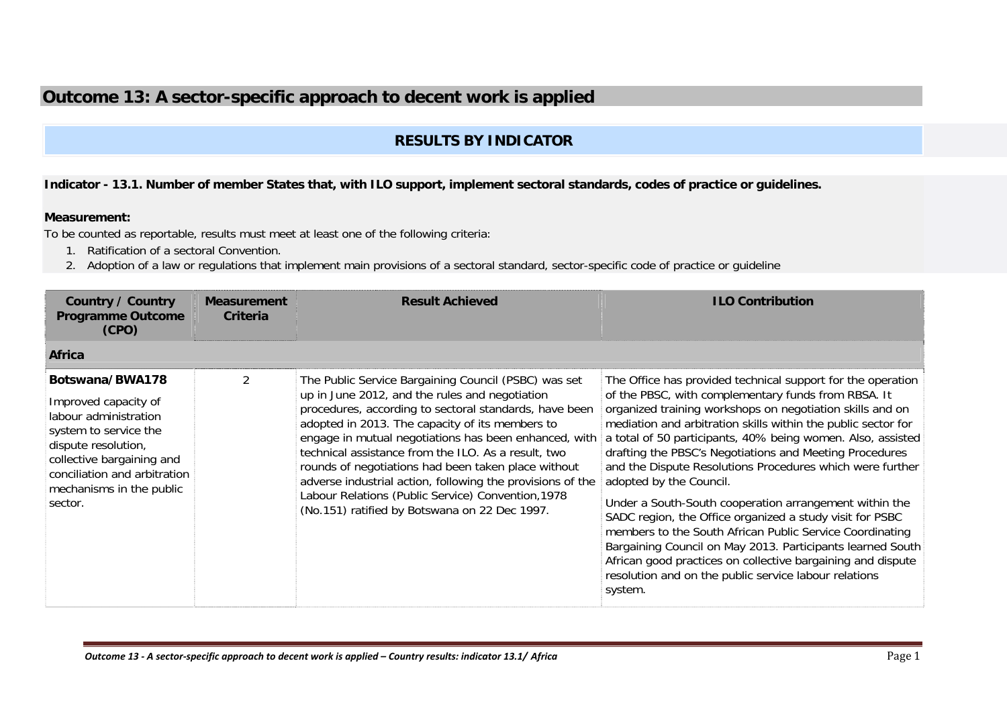# **Outcome 13: A sector-specific approach to decent work is applied**

## **RESULTS BY INDICATOR**

### **Indicator - 13.1. Number of member States that, with ILO support, implement sectoral standards, codes of practice or guidelines.**

#### **Measurement:**

To be counted as reportable, results must meet at least one of the following criteria:

- 1. Ratification of a sectoral Convention.
- 2. Adoption of a law or regulations that implement main provisions of a sectoral standard, sector-specific code of practice or guideline

| <b>Country / Country</b><br><b>Programme Outcome</b><br>(CPO)                                                                                                                                                        | <b>Measurement</b><br>Criteria | <b>Result Achieved</b>                                                                                                                                                                                                                                                                                                                                                                                                                                                                                                                                          | <b>ILO Contribution</b>                                                                                                                                                                                                                                                                                                                                                                                                                                                                                                                                                                                                                                                                                                                                                                                                                               |
|----------------------------------------------------------------------------------------------------------------------------------------------------------------------------------------------------------------------|--------------------------------|-----------------------------------------------------------------------------------------------------------------------------------------------------------------------------------------------------------------------------------------------------------------------------------------------------------------------------------------------------------------------------------------------------------------------------------------------------------------------------------------------------------------------------------------------------------------|-------------------------------------------------------------------------------------------------------------------------------------------------------------------------------------------------------------------------------------------------------------------------------------------------------------------------------------------------------------------------------------------------------------------------------------------------------------------------------------------------------------------------------------------------------------------------------------------------------------------------------------------------------------------------------------------------------------------------------------------------------------------------------------------------------------------------------------------------------|
| <b>Africa</b>                                                                                                                                                                                                        |                                |                                                                                                                                                                                                                                                                                                                                                                                                                                                                                                                                                                 |                                                                                                                                                                                                                                                                                                                                                                                                                                                                                                                                                                                                                                                                                                                                                                                                                                                       |
| Botswana/BWA178<br>Improved capacity of<br>labour administration<br>system to service the<br>dispute resolution,<br>collective bargaining and<br>conciliation and arbitration<br>mechanisms in the public<br>sector. |                                | The Public Service Bargaining Council (PSBC) was set<br>up in June 2012, and the rules and negotiation<br>procedures, according to sectoral standards, have been<br>adopted in 2013. The capacity of its members to<br>engage in mutual negotiations has been enhanced, with<br>technical assistance from the ILO. As a result, two<br>rounds of negotiations had been taken place without<br>adverse industrial action, following the provisions of the<br>Labour Relations (Public Service) Convention, 1978<br>(No.151) ratified by Botswana on 22 Dec 1997. | The Office has provided technical support for the operation<br>of the PBSC, with complementary funds from RBSA. It<br>organized training workshops on negotiation skills and on<br>mediation and arbitration skills within the public sector for<br>a total of 50 participants, 40% being women. Also, assisted<br>drafting the PBSC's Negotiations and Meeting Procedures<br>and the Dispute Resolutions Procedures which were further<br>adopted by the Council.<br>Under a South-South cooperation arrangement within the<br>SADC region, the Office organized a study visit for PSBC<br>members to the South African Public Service Coordinating<br>Bargaining Council on May 2013. Participants learned South<br>African good practices on collective bargaining and dispute<br>resolution and on the public service labour relations<br>system. |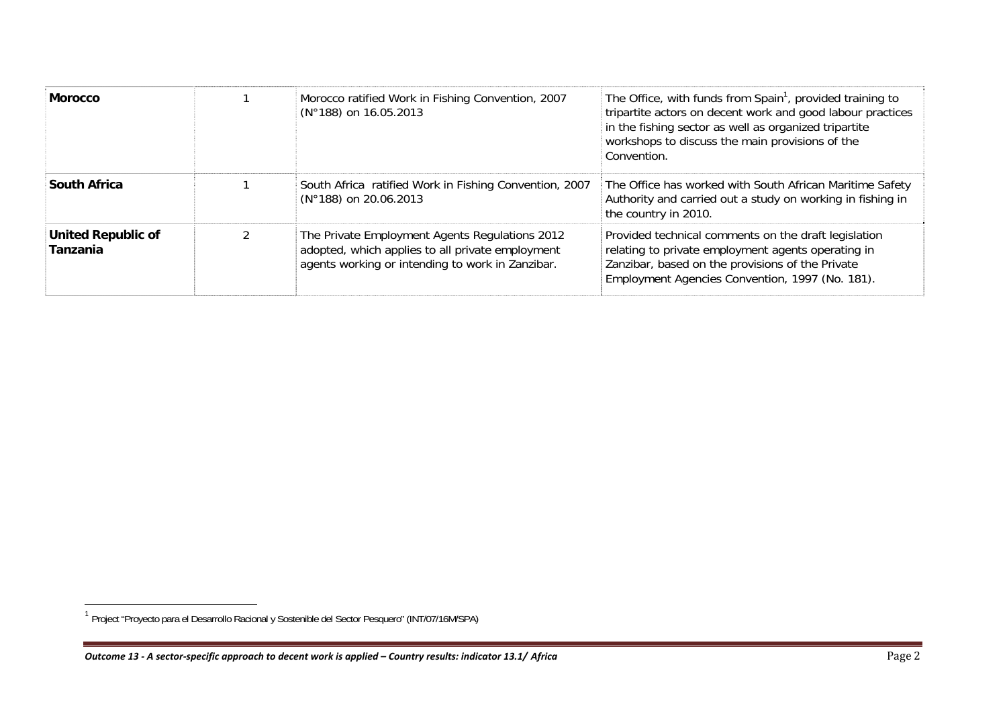| <b>Morocco</b>                        | Morocco ratified Work in Fishing Convention, 2007<br>(N°188) on 16.05.2013                                                                             | The Office, with funds from Spain <sup>1</sup> , provided training to<br>tripartite actors on decent work and good labour practices<br>in the fishing sector as well as organized tripartite<br>workshops to discuss the main provisions of the<br>Convention. |
|---------------------------------------|--------------------------------------------------------------------------------------------------------------------------------------------------------|----------------------------------------------------------------------------------------------------------------------------------------------------------------------------------------------------------------------------------------------------------------|
| <b>South Africa</b>                   | South Africa ratified Work in Fishing Convention, 2007<br>(N°188) on 20.06.2013                                                                        | The Office has worked with South African Maritime Safety<br>Authority and carried out a study on working in fishing in<br>the country in 2010.                                                                                                                 |
| <b>United Republic of</b><br>Tanzania | The Private Employment Agents Regulations 2012<br>adopted, which applies to all private employment<br>agents working or intending to work in Zanzibar. | Provided technical comments on the draft legislation<br>relating to private employment agents operating in<br>Zanzibar, based on the provisions of the Private<br>Employment Agencies Convention, 1997 (No. 181).                                              |

<sup>&</sup>lt;sup>1</sup> Project "Proyecto para el Desarrollo Racional y Sostenible del Sector Pesquero" (INT/07/16M/SPA)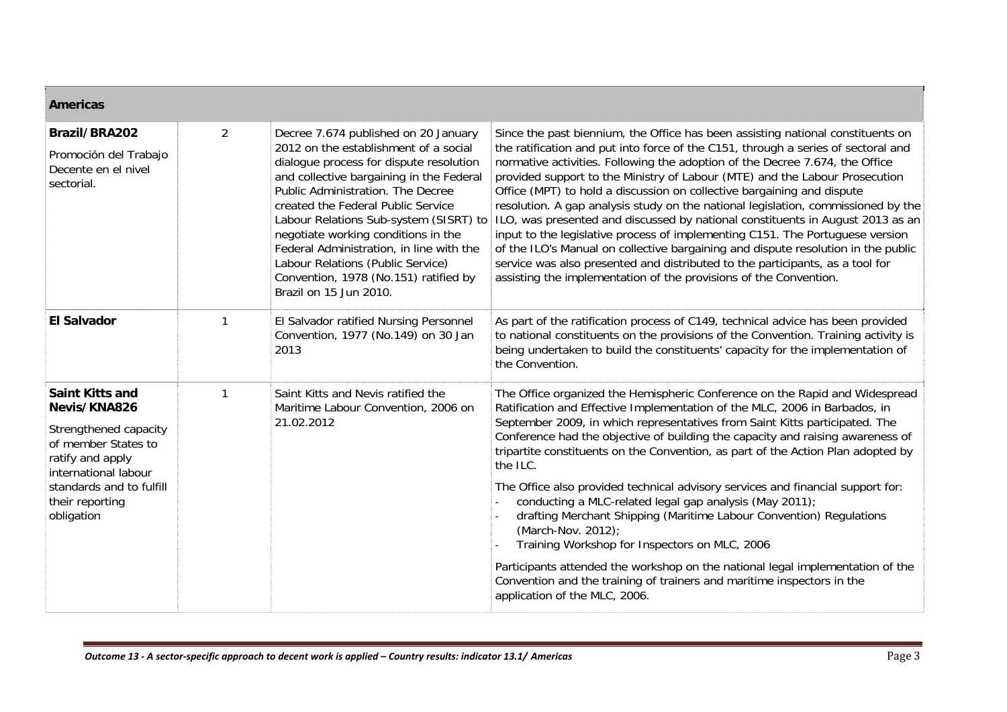| <b>Americas</b>                                                                                                                                                                                 |                |                                                                                                                                                                                                                                                                                                                                                                                                                                                                                      |                                                                                                                                                                                                                                                                                                                                                                                                                                                                                                                                                                                                                                                                                                                                                                                                                                                                                                                  |  |  |
|-------------------------------------------------------------------------------------------------------------------------------------------------------------------------------------------------|----------------|--------------------------------------------------------------------------------------------------------------------------------------------------------------------------------------------------------------------------------------------------------------------------------------------------------------------------------------------------------------------------------------------------------------------------------------------------------------------------------------|------------------------------------------------------------------------------------------------------------------------------------------------------------------------------------------------------------------------------------------------------------------------------------------------------------------------------------------------------------------------------------------------------------------------------------------------------------------------------------------------------------------------------------------------------------------------------------------------------------------------------------------------------------------------------------------------------------------------------------------------------------------------------------------------------------------------------------------------------------------------------------------------------------------|--|--|
| Brazil/BRA202<br>Promoción del Trabajo<br>Decente en el nivel<br>sectorial.                                                                                                                     | $\overline{2}$ | Decree 7.674 published on 20 January<br>2012 on the establishment of a social<br>dialogue process for dispute resolution<br>and collective bargaining in the Federal<br>Public Administration. The Decree<br>created the Federal Public Service<br>Labour Relations Sub-system (SISRT) to<br>negotiate working conditions in the<br>Federal Administration, in line with the<br>Labour Relations (Public Service)<br>Convention, 1978 (No.151) ratified by<br>Brazil on 15 Jun 2010. | Since the past biennium, the Office has been assisting national constituents on<br>the ratification and put into force of the C151, through a series of sectoral and<br>normative activities. Following the adoption of the Decree 7.674, the Office<br>provided support to the Ministry of Labour (MTE) and the Labour Prosecution<br>Office (MPT) to hold a discussion on collective bargaining and dispute<br>resolution. A gap analysis study on the national legislation, commissioned by the<br>ILO, was presented and discussed by national constituents in August 2013 as an<br>input to the legislative process of implementing C151. The Portuguese version<br>of the ILO's Manual on collective bargaining and dispute resolution in the public<br>service was also presented and distributed to the participants, as a tool for<br>assisting the implementation of the provisions of the Convention. |  |  |
| <b>El Salvador</b>                                                                                                                                                                              | $\mathbf{1}$   | El Salvador ratified Nursing Personnel<br>Convention, 1977 (No.149) on 30 Jan<br>2013                                                                                                                                                                                                                                                                                                                                                                                                | As part of the ratification process of C149, technical advice has been provided<br>to national constituents on the provisions of the Convention. Training activity is<br>being undertaken to build the constituents' capacity for the implementation of<br>the Convention.                                                                                                                                                                                                                                                                                                                                                                                                                                                                                                                                                                                                                                       |  |  |
| <b>Saint Kitts and</b><br>Nevis/KNA826<br>Strengthened capacity<br>of member States to<br>ratify and apply<br>international labour<br>standards and to fulfill<br>their reporting<br>obligation | 1              | Saint Kitts and Nevis ratified the<br>Maritime Labour Convention, 2006 on<br>21.02.2012                                                                                                                                                                                                                                                                                                                                                                                              | The Office organized the Hemispheric Conference on the Rapid and Widespread<br>Ratification and Effective Implementation of the MLC, 2006 in Barbados, in<br>September 2009, in which representatives from Saint Kitts participated. The<br>Conference had the objective of building the capacity and raising awareness of<br>tripartite constituents on the Convention, as part of the Action Plan adopted by<br>the ILC.<br>The Office also provided technical advisory services and financial support for:<br>conducting a MLC-related legal gap analysis (May 2011);<br>drafting Merchant Shipping (Maritime Labour Convention) Regulations<br>(March-Nov. 2012);<br>Training Workshop for Inspectors on MLC, 2006<br>Participants attended the workshop on the national legal implementation of the<br>Convention and the training of trainers and maritime inspectors in the                               |  |  |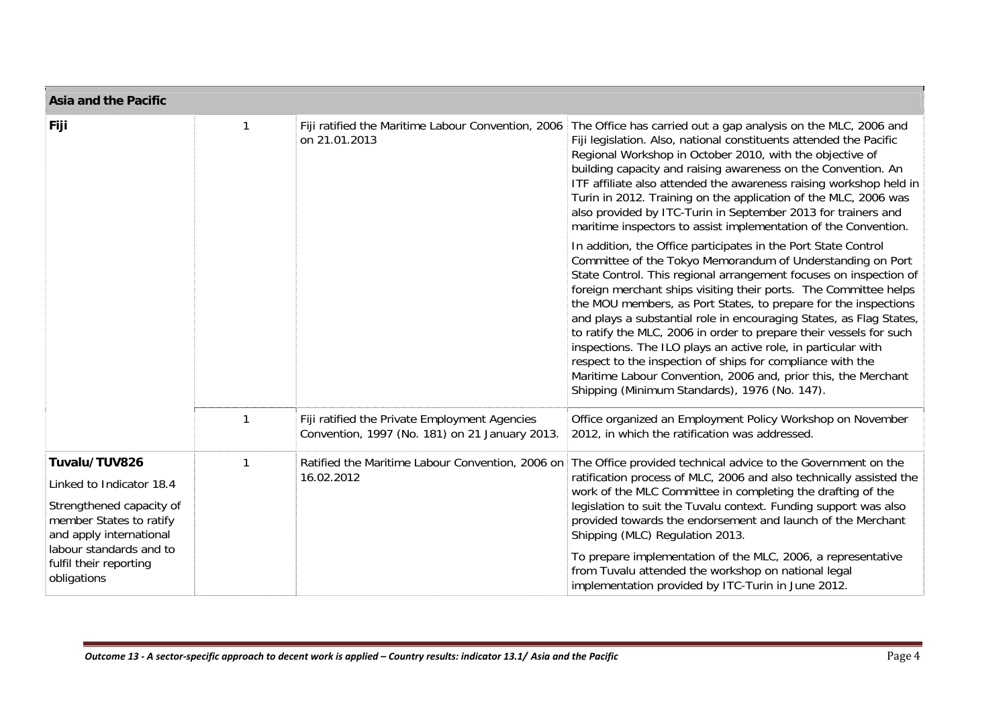| <b>Asia and the Pacific</b>                                                    |   |                                                                                                 |                                                                                                                                                                                                                                                                                                                                                                                                                                                                                                                                                                                                                                                                                                                                         |
|--------------------------------------------------------------------------------|---|-------------------------------------------------------------------------------------------------|-----------------------------------------------------------------------------------------------------------------------------------------------------------------------------------------------------------------------------------------------------------------------------------------------------------------------------------------------------------------------------------------------------------------------------------------------------------------------------------------------------------------------------------------------------------------------------------------------------------------------------------------------------------------------------------------------------------------------------------------|
| Fiji                                                                           | 1 | Fiji ratified the Maritime Labour Convention, 2006<br>on 21.01.2013                             | The Office has carried out a gap analysis on the MLC, 2006 and<br>Fiji legislation. Also, national constituents attended the Pacific<br>Regional Workshop in October 2010, with the objective of<br>building capacity and raising awareness on the Convention. An<br>ITF affiliate also attended the awareness raising workshop held in<br>Turin in 2012. Training on the application of the MLC, 2006 was<br>also provided by ITC-Turin in September 2013 for trainers and<br>maritime inspectors to assist implementation of the Convention.                                                                                                                                                                                          |
|                                                                                |   |                                                                                                 | In addition, the Office participates in the Port State Control<br>Committee of the Tokyo Memorandum of Understanding on Port<br>State Control. This regional arrangement focuses on inspection of<br>foreign merchant ships visiting their ports. The Committee helps<br>the MOU members, as Port States, to prepare for the inspections<br>and plays a substantial role in encouraging States, as Flag States,<br>to ratify the MLC, 2006 in order to prepare their vessels for such<br>inspections. The ILO plays an active role, in particular with<br>respect to the inspection of ships for compliance with the<br>Maritime Labour Convention, 2006 and, prior this, the Merchant<br>Shipping (Minimum Standards), 1976 (No. 147). |
|                                                                                | 1 | Fiji ratified the Private Employment Agencies<br>Convention, 1997 (No. 181) on 21 January 2013. | Office organized an Employment Policy Workshop on November<br>2012, in which the ratification was addressed.                                                                                                                                                                                                                                                                                                                                                                                                                                                                                                                                                                                                                            |
| Tuvalu/TUV826                                                                  | 1 | Ratified the Maritime Labour Convention, 2006 on                                                | The Office provided technical advice to the Government on the                                                                                                                                                                                                                                                                                                                                                                                                                                                                                                                                                                                                                                                                           |
| Linked to Indicator 18.4                                                       |   | 16.02.2012                                                                                      | ratification process of MLC, 2006 and also technically assisted the<br>work of the MLC Committee in completing the drafting of the                                                                                                                                                                                                                                                                                                                                                                                                                                                                                                                                                                                                      |
| Strengthened capacity of<br>member States to ratify<br>and apply international |   |                                                                                                 | legislation to suit the Tuvalu context. Funding support was also<br>provided towards the endorsement and launch of the Merchant<br>Shipping (MLC) Regulation 2013.                                                                                                                                                                                                                                                                                                                                                                                                                                                                                                                                                                      |
| labour standards and to<br>fulfil their reporting<br>obligations               |   |                                                                                                 | To prepare implementation of the MLC, 2006, a representative<br>from Tuvalu attended the workshop on national legal<br>implementation provided by ITC-Turin in June 2012.                                                                                                                                                                                                                                                                                                                                                                                                                                                                                                                                                               |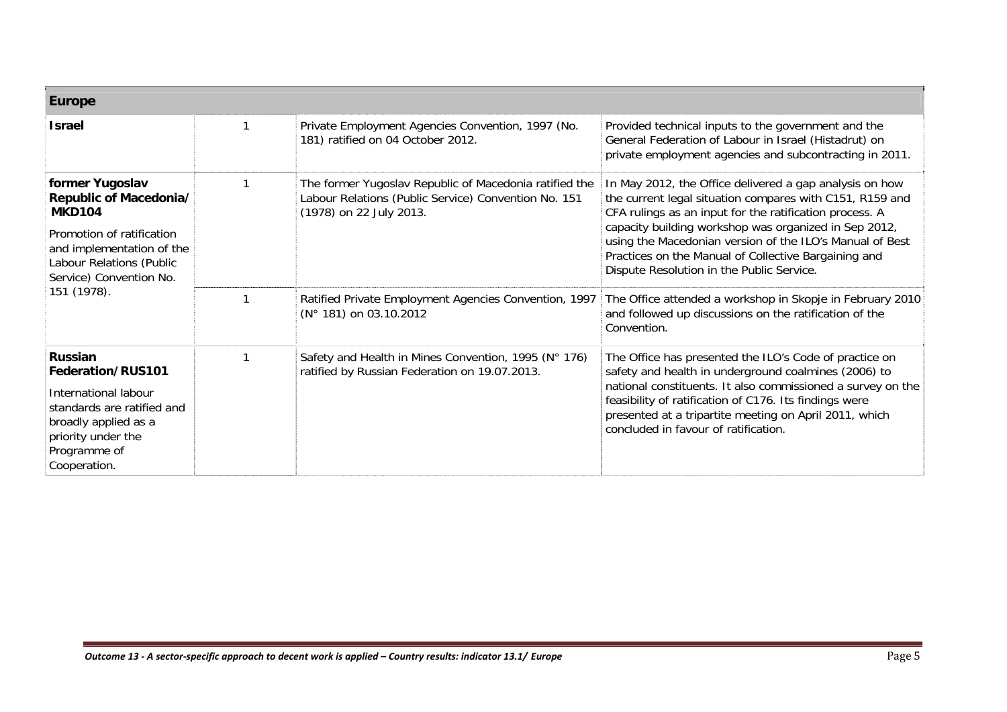| <b>Europe</b>                                                                                                                                                                              |                                                                                                                                                                                                                              |                                                                                                                                                                                                                                                                                                                                                                                                                                                                                                                                 |
|--------------------------------------------------------------------------------------------------------------------------------------------------------------------------------------------|------------------------------------------------------------------------------------------------------------------------------------------------------------------------------------------------------------------------------|---------------------------------------------------------------------------------------------------------------------------------------------------------------------------------------------------------------------------------------------------------------------------------------------------------------------------------------------------------------------------------------------------------------------------------------------------------------------------------------------------------------------------------|
| <b>Israel</b>                                                                                                                                                                              | Private Employment Agencies Convention, 1997 (No.<br>181) ratified on 04 October 2012.                                                                                                                                       | Provided technical inputs to the government and the<br>General Federation of Labour in Israel (Histadrut) on<br>private employment agencies and subcontracting in 2011.                                                                                                                                                                                                                                                                                                                                                         |
| former Yugoslav<br>Republic of Macedonia/<br><b>MKD104</b><br>Promotion of ratification<br>and implementation of the<br>Labour Relations (Public<br>Service) Convention No.<br>151 (1978). | The former Yugoslav Republic of Macedonia ratified the<br>Labour Relations (Public Service) Convention No. 151<br>(1978) on 22 July 2013.<br>Ratified Private Employment Agencies Convention, 1997<br>(N° 181) on 03.10.2012 | In May 2012, the Office delivered a gap analysis on how<br>the current legal situation compares with C151, R159 and<br>CFA rulings as an input for the ratification process. A<br>capacity building workshop was organized in Sep 2012,<br>using the Macedonian version of the ILO's Manual of Best<br>Practices on the Manual of Collective Bargaining and<br>Dispute Resolution in the Public Service.<br>The Office attended a workshop in Skopje in February 2010<br>and followed up discussions on the ratification of the |
|                                                                                                                                                                                            |                                                                                                                                                                                                                              | Convention.                                                                                                                                                                                                                                                                                                                                                                                                                                                                                                                     |
| Russian<br>Federation/RUS101<br>International labour<br>standards are ratified and<br>broadly applied as a<br>priority under the<br>Programme of<br>Cooperation.                           | Safety and Health in Mines Convention, 1995 (N° 176)<br>ratified by Russian Federation on 19.07.2013.                                                                                                                        | The Office has presented the ILO's Code of practice on<br>safety and health in underground coalmines (2006) to<br>national constituents. It also commissioned a survey on the<br>feasibility of ratification of C176. Its findings were<br>presented at a tripartite meeting on April 2011, which<br>concluded in favour of ratification.                                                                                                                                                                                       |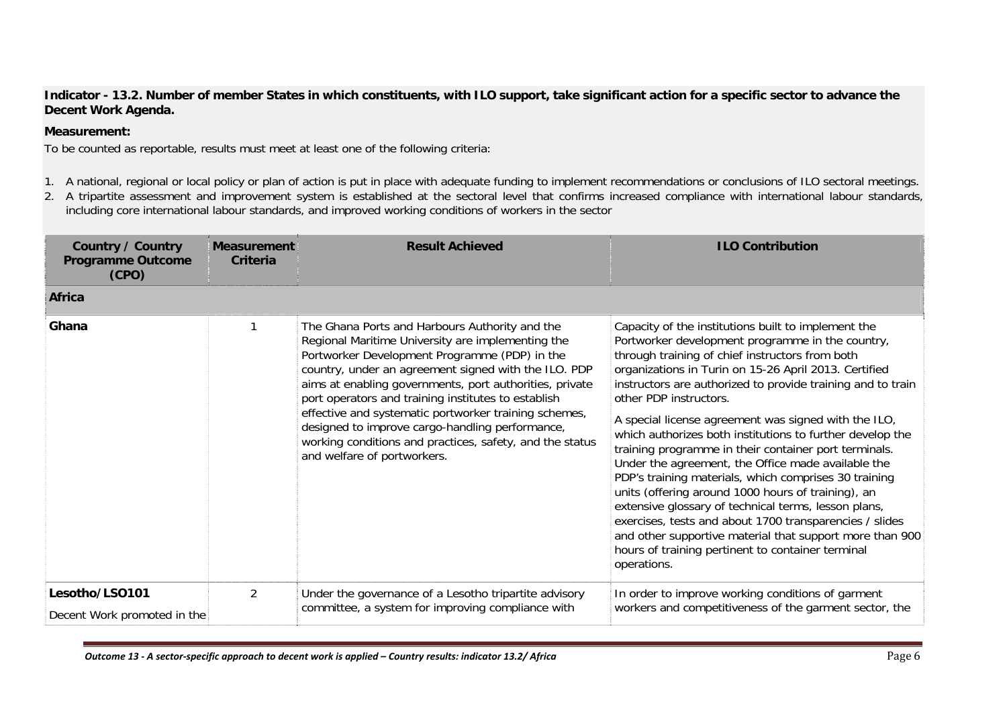**Indicator - 13.2. Number of member States in which constituents, with ILO support, take significant action for a specific sector to advance the Decent Work Agenda.** 

### **Measurement:**

To be counted as reportable, results must meet at least one of the following criteria:

- 1. A national, regional or local policy or plan of action is put in place with adequate funding to implement recommendations or conclusions of ILO sectoral meetings.
- 2. A tripartite assessment and improvement system is established at the sectoral level that confirms increased compliance with international labour standards, including core international labour standards, and improved working conditions of workers in the sector

| <b>Country / Country</b><br><b>Programme Outcome</b><br>(CPO) | <b>Measurement</b><br>Criteria | <b>Result Achieved</b>                                                                                                                                                                                                                                                                                                                                                                                                                                                                                                                | <b>ILO Contribution</b>                                                                                                                                                                                                                                                                                                                                                                                                                                                                                                                                                                                                                                                                                                                                                                                                                                                                                            |
|---------------------------------------------------------------|--------------------------------|---------------------------------------------------------------------------------------------------------------------------------------------------------------------------------------------------------------------------------------------------------------------------------------------------------------------------------------------------------------------------------------------------------------------------------------------------------------------------------------------------------------------------------------|--------------------------------------------------------------------------------------------------------------------------------------------------------------------------------------------------------------------------------------------------------------------------------------------------------------------------------------------------------------------------------------------------------------------------------------------------------------------------------------------------------------------------------------------------------------------------------------------------------------------------------------------------------------------------------------------------------------------------------------------------------------------------------------------------------------------------------------------------------------------------------------------------------------------|
| <b>Africa</b>                                                 |                                |                                                                                                                                                                                                                                                                                                                                                                                                                                                                                                                                       |                                                                                                                                                                                                                                                                                                                                                                                                                                                                                                                                                                                                                                                                                                                                                                                                                                                                                                                    |
| Ghana                                                         |                                | The Ghana Ports and Harbours Authority and the<br>Regional Maritime University are implementing the<br>Portworker Development Programme (PDP) in the<br>country, under an agreement signed with the ILO. PDP<br>aims at enabling governments, port authorities, private<br>port operators and training institutes to establish<br>effective and systematic portworker training schemes,<br>designed to improve cargo-handling performance,<br>working conditions and practices, safety, and the status<br>and welfare of portworkers. | Capacity of the institutions built to implement the<br>Portworker development programme in the country,<br>through training of chief instructors from both<br>organizations in Turin on 15-26 April 2013. Certified<br>instructors are authorized to provide training and to train<br>other PDP instructors.<br>A special license agreement was signed with the ILO,<br>which authorizes both institutions to further develop the<br>training programme in their container port terminals.<br>Under the agreement, the Office made available the<br>PDP's training materials, which comprises 30 training<br>units (offering around 1000 hours of training), an<br>extensive glossary of technical terms, lesson plans,<br>exercises, tests and about 1700 transparencies / slides<br>and other supportive material that support more than 900<br>hours of training pertinent to container terminal<br>operations. |
| Lesotho/LSO101<br>Decent Work promoted in the                 | $\overline{2}$                 | Under the governance of a Lesotho tripartite advisory<br>committee, a system for improving compliance with                                                                                                                                                                                                                                                                                                                                                                                                                            | In order to improve working conditions of garment<br>workers and competitiveness of the garment sector, the                                                                                                                                                                                                                                                                                                                                                                                                                                                                                                                                                                                                                                                                                                                                                                                                        |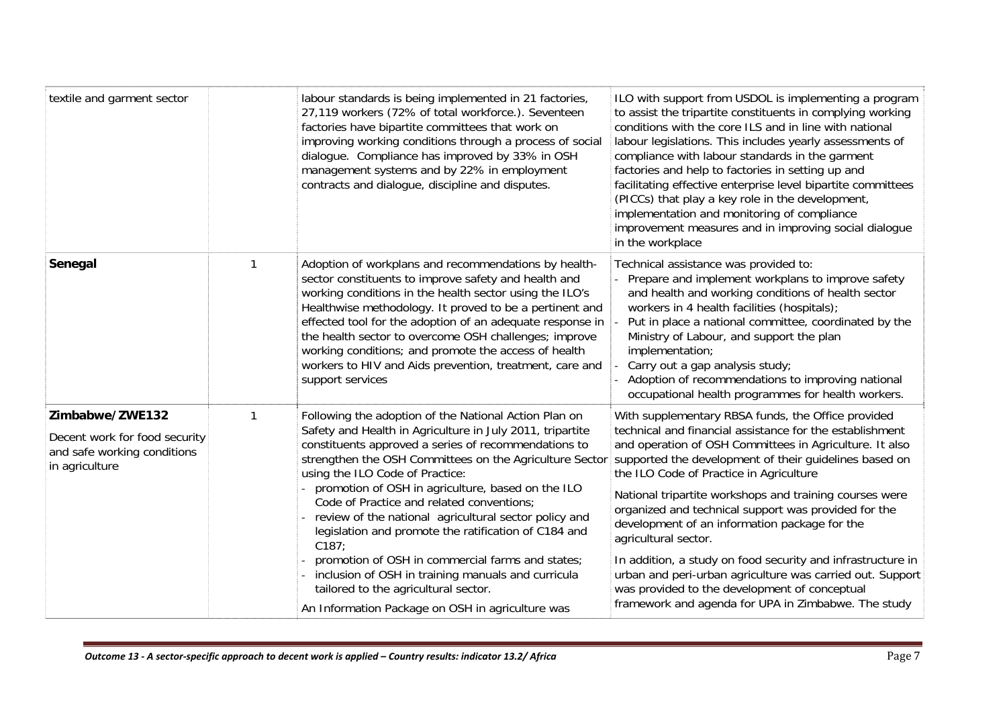| textile and garment sector                                                                        | labour standards is being implemented in 21 factories,<br>27,119 workers (72% of total workforce.). Seventeen<br>factories have bipartite committees that work on<br>improving working conditions through a process of social<br>dialogue. Compliance has improved by 33% in OSH<br>management systems and by 22% in employment<br>contracts and dialogue, discipline and disputes.                                                                                                                                                                                                                                                                                                                        | ILO with support from USDOL is implementing a program<br>to assist the tripartite constituents in complying working<br>conditions with the core ILS and in line with national<br>labour legislations. This includes yearly assessments of<br>compliance with labour standards in the garment<br>factories and help to factories in setting up and<br>facilitating effective enterprise level bipartite committees<br>(PICCs) that play a key role in the development,<br>implementation and monitoring of compliance<br>improvement measures and in improving social dialogue<br>in the workplace                                                                                                              |
|---------------------------------------------------------------------------------------------------|------------------------------------------------------------------------------------------------------------------------------------------------------------------------------------------------------------------------------------------------------------------------------------------------------------------------------------------------------------------------------------------------------------------------------------------------------------------------------------------------------------------------------------------------------------------------------------------------------------------------------------------------------------------------------------------------------------|----------------------------------------------------------------------------------------------------------------------------------------------------------------------------------------------------------------------------------------------------------------------------------------------------------------------------------------------------------------------------------------------------------------------------------------------------------------------------------------------------------------------------------------------------------------------------------------------------------------------------------------------------------------------------------------------------------------|
| Senegal                                                                                           | Adoption of workplans and recommendations by health-<br>sector constituents to improve safety and health and<br>working conditions in the health sector using the ILO's<br>Healthwise methodology. It proved to be a pertinent and<br>effected tool for the adoption of an adequate response in<br>the health sector to overcome OSH challenges; improve<br>working conditions; and promote the access of health<br>workers to HIV and Aids prevention, treatment, care and<br>support services                                                                                                                                                                                                            | Technical assistance was provided to:<br>Prepare and implement workplans to improve safety<br>and health and working conditions of health sector<br>workers in 4 health facilities (hospitals);<br>Put in place a national committee, coordinated by the<br>Ministry of Labour, and support the plan<br>implementation;<br>Carry out a gap analysis study;<br>Adoption of recommendations to improving national<br>occupational health programmes for health workers.                                                                                                                                                                                                                                          |
| Zimbabwe/ZWE132<br>Decent work for food security<br>and safe working conditions<br>in agriculture | Following the adoption of the National Action Plan on<br>Safety and Health in Agriculture in July 2011, tripartite<br>constituents approved a series of recommendations to<br>strengthen the OSH Committees on the Agriculture Sector<br>using the ILO Code of Practice:<br>promotion of OSH in agriculture, based on the ILO<br>Code of Practice and related conventions;<br>review of the national agricultural sector policy and<br>legislation and promote the ratification of C184 and<br>C187:<br>promotion of OSH in commercial farms and states;<br>inclusion of OSH in training manuals and curricula<br>tailored to the agricultural sector.<br>An Information Package on OSH in agriculture was | With supplementary RBSA funds, the Office provided<br>technical and financial assistance for the establishment<br>and operation of OSH Committees in Agriculture. It also<br>supported the development of their guidelines based on<br>the ILO Code of Practice in Agriculture<br>National tripartite workshops and training courses were<br>organized and technical support was provided for the<br>development of an information package for the<br>agricultural sector.<br>In addition, a study on food security and infrastructure in<br>urban and peri-urban agriculture was carried out. Support<br>was provided to the development of conceptual<br>framework and agenda for UPA in Zimbabwe. The study |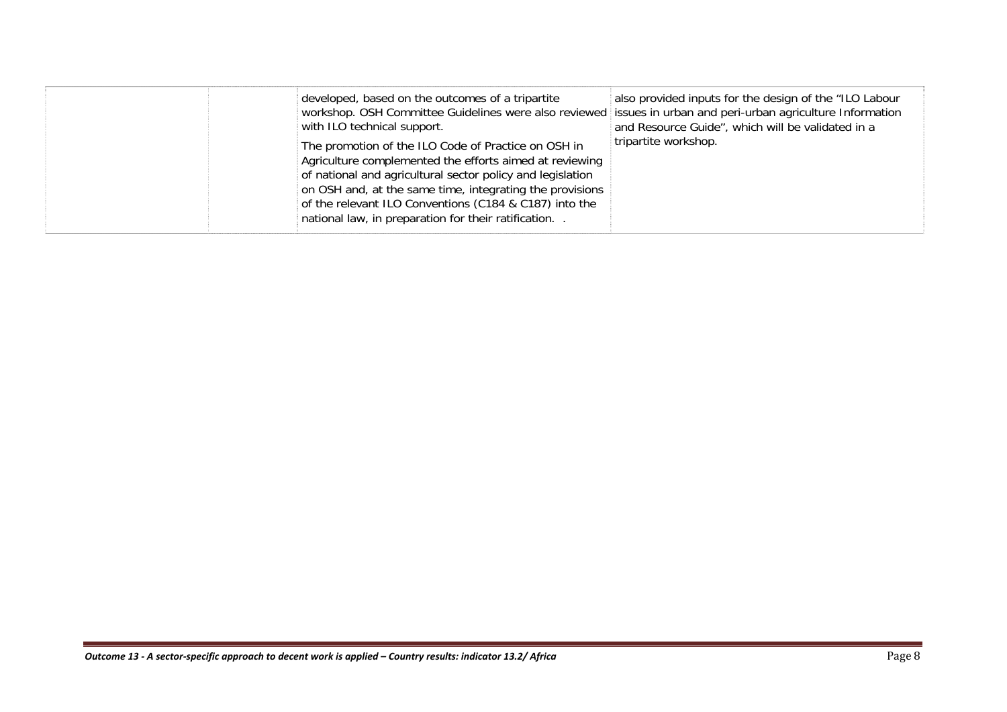|  | developed, based on the outcomes of a tripartite<br>workshop. OSH Committee Guidelines were also reviewed issues in urban and peri-urban agriculture Information<br>with ILO technical support.<br>The promotion of the ILO Code of Practice on OSH in<br>Agriculture complemented the efforts aimed at reviewing<br>of national and agricultural sector policy and legislation<br>on OSH and, at the same time, integrating the provisions<br>of the relevant ILO Conventions (C184 & C187) into the<br>national law, in preparation for their ratification | also provided inputs for the design of the "ILO Labour<br>and Resource Guide", which will be validated in a<br>tripartite workshop. |
|--|--------------------------------------------------------------------------------------------------------------------------------------------------------------------------------------------------------------------------------------------------------------------------------------------------------------------------------------------------------------------------------------------------------------------------------------------------------------------------------------------------------------------------------------------------------------|-------------------------------------------------------------------------------------------------------------------------------------|
|--|--------------------------------------------------------------------------------------------------------------------------------------------------------------------------------------------------------------------------------------------------------------------------------------------------------------------------------------------------------------------------------------------------------------------------------------------------------------------------------------------------------------------------------------------------------------|-------------------------------------------------------------------------------------------------------------------------------------|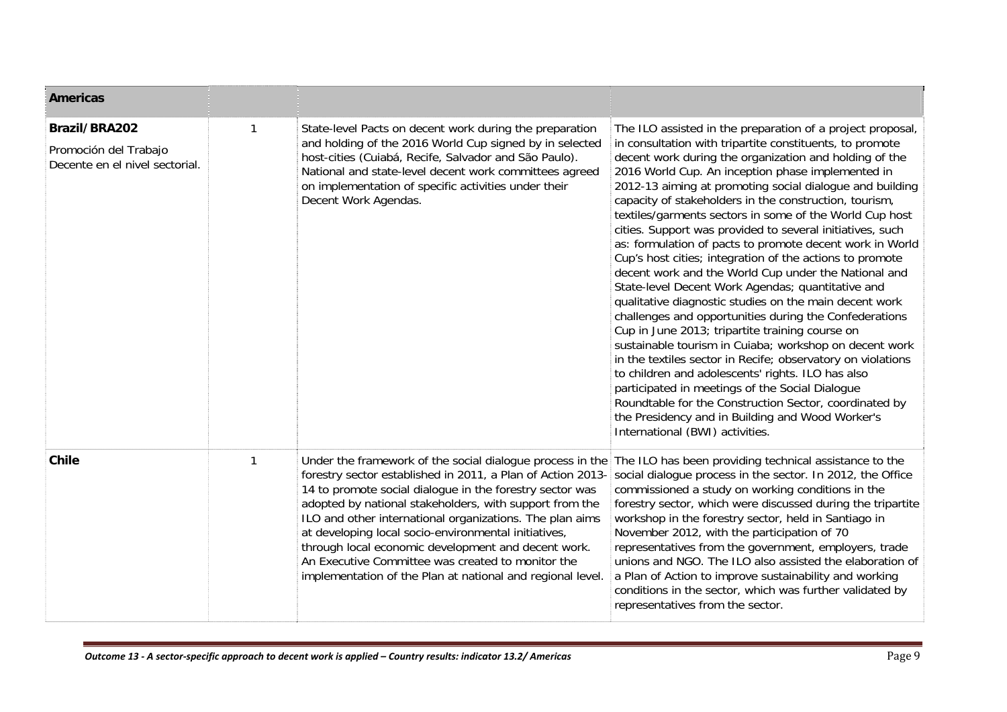| Americas                                                                        |                                                                                                                                                                                                                                                                                                                                                                                                                                                                                                                                               |                                                                                                                                                                                                                                                                                                                                                                                                                                                                                                                                                                                                                                                                                                                                                                                                                                                                                                                                                                                                                                                                                                                                                                                                                                                                                   |
|---------------------------------------------------------------------------------|-----------------------------------------------------------------------------------------------------------------------------------------------------------------------------------------------------------------------------------------------------------------------------------------------------------------------------------------------------------------------------------------------------------------------------------------------------------------------------------------------------------------------------------------------|-----------------------------------------------------------------------------------------------------------------------------------------------------------------------------------------------------------------------------------------------------------------------------------------------------------------------------------------------------------------------------------------------------------------------------------------------------------------------------------------------------------------------------------------------------------------------------------------------------------------------------------------------------------------------------------------------------------------------------------------------------------------------------------------------------------------------------------------------------------------------------------------------------------------------------------------------------------------------------------------------------------------------------------------------------------------------------------------------------------------------------------------------------------------------------------------------------------------------------------------------------------------------------------|
| <b>Brazil/BRA202</b><br>Promoción del Trabajo<br>Decente en el nivel sectorial. | State-level Pacts on decent work during the preparation<br>and holding of the 2016 World Cup signed by in selected<br>host-cities (Cuiabá, Recife, Salvador and São Paulo).<br>National and state-level decent work committees agreed<br>on implementation of specific activities under their<br>Decent Work Agendas.                                                                                                                                                                                                                         | The ILO assisted in the preparation of a project proposal,<br>in consultation with tripartite constituents, to promote<br>decent work during the organization and holding of the<br>2016 World Cup. An inception phase implemented in<br>2012-13 aiming at promoting social dialogue and building<br>capacity of stakeholders in the construction, tourism,<br>textiles/garments sectors in some of the World Cup host<br>cities. Support was provided to several initiatives, such<br>as: formulation of pacts to promote decent work in World<br>Cup's host cities; integration of the actions to promote<br>decent work and the World Cup under the National and<br>State-level Decent Work Agendas; quantitative and<br>qualitative diagnostic studies on the main decent work<br>challenges and opportunities during the Confederations<br>Cup in June 2013; tripartite training course on<br>sustainable tourism in Cuiaba; workshop on decent work<br>in the textiles sector in Recife; observatory on violations<br>to children and adolescents' rights. ILO has also<br>participated in meetings of the Social Dialogue<br>Roundtable for the Construction Sector, coordinated by<br>the Presidency and in Building and Wood Worker's<br>International (BWI) activities. |
| <b>Chile</b>                                                                    | Under the framework of the social dialogue process in the<br>forestry sector established in 2011, a Plan of Action 2013-<br>14 to promote social dialogue in the forestry sector was<br>adopted by national stakeholders, with support from the<br>ILO and other international organizations. The plan aims<br>at developing local socio-environmental initiatives,<br>through local economic development and decent work.<br>An Executive Committee was created to monitor the<br>implementation of the Plan at national and regional level. | The ILO has been providing technical assistance to the<br>social dialogue process in the sector. In 2012, the Office<br>commissioned a study on working conditions in the<br>forestry sector, which were discussed during the tripartite<br>workshop in the forestry sector, held in Santiago in<br>November 2012, with the participation of 70<br>representatives from the government, employers, trade<br>unions and NGO. The ILO also assisted the elaboration of<br>a Plan of Action to improve sustainability and working<br>conditions in the sector, which was further validated by<br>representatives from the sector.                                                                                                                                                                                                                                                                                                                                                                                                                                                                                                                                                                                                                                                    |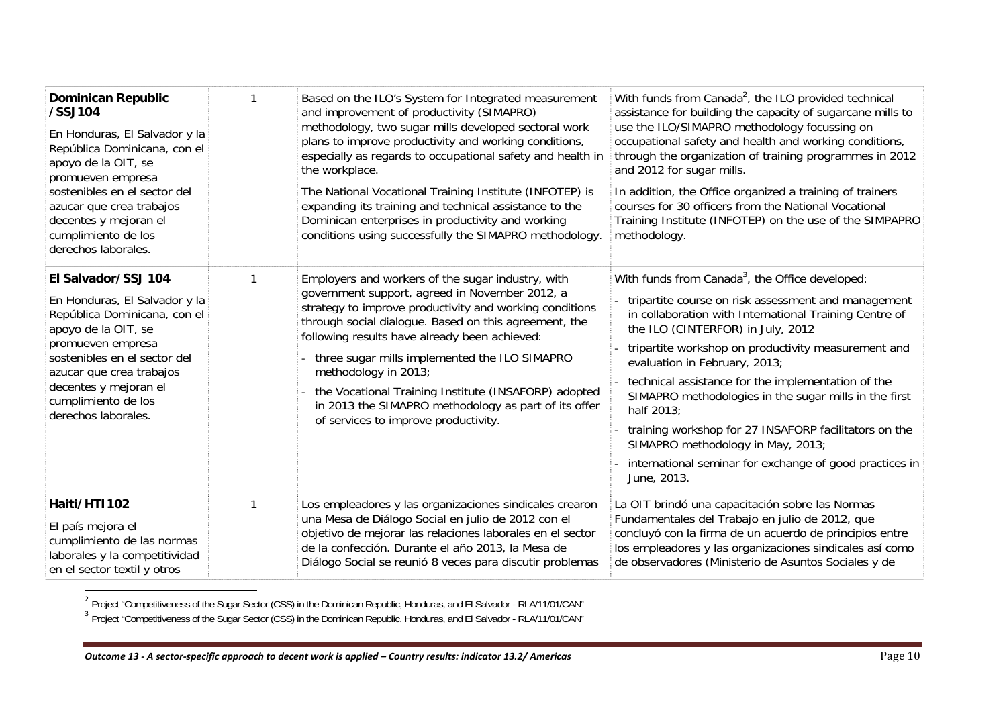| <b>Dominican Republic</b><br>/SSJ104<br>En Honduras, El Salvador y la<br>República Dominicana, con el<br>apoyo de la OIT, se<br>promueven empresa<br>sostenibles en el sector del<br>azucar que crea trabajos<br>decentes y mejoran el<br>cumplimiento de los<br>derechos laborales. | Based on the ILO's System for Integrated measurement<br>and improvement of productivity (SIMAPRO)<br>methodology, two sugar mills developed sectoral work<br>plans to improve productivity and working conditions,<br>especially as regards to occupational safety and health in<br>the workplace.<br>The National Vocational Training Institute (INFOTEP) is<br>expanding its training and technical assistance to the<br>Dominican enterprises in productivity and working<br>conditions using successfully the SIMAPRO methodology. | With funds from Canada <sup>2</sup> , the ILO provided technical<br>assistance for building the capacity of sugarcane mills to<br>use the ILO/SIMAPRO methodology focussing on<br>occupational safety and health and working conditions,<br>through the organization of training programmes in 2012<br>and 2012 for sugar mills.<br>In addition, the Office organized a training of trainers<br>courses for 30 officers from the National Vocational<br>Training Institute (INFOTEP) on the use of the SIMPAPRO<br>methodology.                                                                                |
|--------------------------------------------------------------------------------------------------------------------------------------------------------------------------------------------------------------------------------------------------------------------------------------|----------------------------------------------------------------------------------------------------------------------------------------------------------------------------------------------------------------------------------------------------------------------------------------------------------------------------------------------------------------------------------------------------------------------------------------------------------------------------------------------------------------------------------------|----------------------------------------------------------------------------------------------------------------------------------------------------------------------------------------------------------------------------------------------------------------------------------------------------------------------------------------------------------------------------------------------------------------------------------------------------------------------------------------------------------------------------------------------------------------------------------------------------------------|
| El Salvador/SSJ 104<br>En Honduras, El Salvador y la<br>República Dominicana, con el<br>apoyo de la OIT, se<br>promueven empresa<br>sostenibles en el sector del<br>azucar que crea trabajos<br>decentes y mejoran el<br>cumplimiento de los<br>derechos laborales.                  | Employers and workers of the sugar industry, with<br>government support, agreed in November 2012, a<br>strategy to improve productivity and working conditions<br>through social dialogue. Based on this agreement, the<br>following results have already been achieved:<br>three sugar mills implemented the ILO SIMAPRO<br>methodology in 2013;<br>the Vocational Training Institute (INSAFORP) adopted<br>in 2013 the SIMAPRO methodology as part of its offer<br>of services to improve productivity.                              | With funds from Canada <sup>3</sup> , the Office developed:<br>tripartite course on risk assessment and management<br>in collaboration with International Training Centre of<br>the ILO (CINTERFOR) in July, 2012<br>tripartite workshop on productivity measurement and<br>evaluation in February, 2013;<br>technical assistance for the implementation of the<br>SIMAPRO methodologies in the sugar mills in the first<br>half 2013;<br>training workshop for 27 INSAFORP facilitators on the<br>SIMAPRO methodology in May, 2013;<br>international seminar for exchange of good practices in<br>June, 2013. |
| Haiti/HTI102<br>El país mejora el<br>cumplimiento de las normas<br>laborales y la competitividad<br>en el sector textil y otros                                                                                                                                                      | Los empleadores y las organizaciones sindicales crearon<br>una Mesa de Diálogo Social en julio de 2012 con el<br>objetivo de mejorar las relaciones laborales en el sector<br>de la confección. Durante el año 2013, la Mesa de<br>Diálogo Social se reunió 8 veces para discutir problemas                                                                                                                                                                                                                                            | La OIT brindó una capacitación sobre las Normas<br>Fundamentales del Trabajo en julio de 2012, que<br>concluyó con la firma de un acuerdo de principios entre<br>los empleadores y las organizaciones sindicales así como<br>de observadores (Ministerio de Asuntos Sociales y de                                                                                                                                                                                                                                                                                                                              |

<sup>2</sup> Project "Competitiveness of the Sugar Sector (CSS) in the Dominican Republic, Honduras, and El Salvador - RLA/11/01/CAN″<br><sup>3</sup> Project "Competitiveness of the Sugar Sector (CSS) in the Dominican Republic, Honduras, and E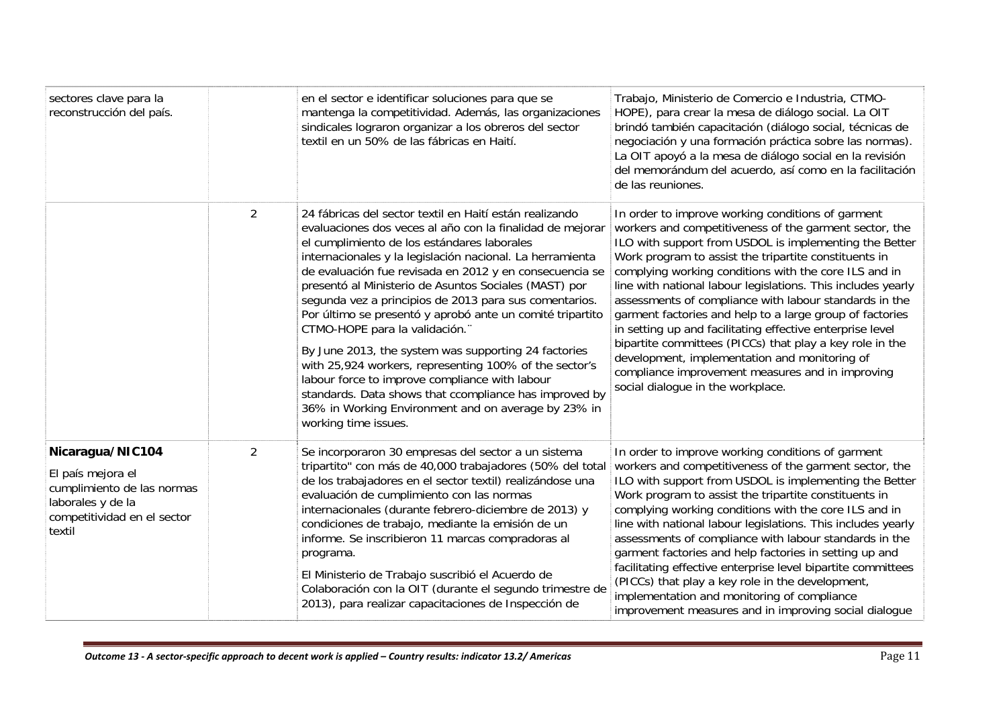| sectores clave para la<br>reconstrucción del país.                                                                                |                | en el sector e identificar soluciones para que se<br>mantenga la competitividad. Además, las organizaciones<br>sindicales lograron organizar a los obreros del sector<br>textil en un 50% de las fábricas en Haití.                                                                                                                                                                                                                                                                                                                                                                                                                                                                                                                                                                                                       | Trabajo, Ministerio de Comercio e Industria, CTMO-<br>HOPE), para crear la mesa de diálogo social. La OIT<br>brindó también capacitación (diálogo social, técnicas de<br>negociación y una formación práctica sobre las normas).<br>La OIT apoyó a la mesa de diálogo social en la revisión<br>del memorándum del acuerdo, así como en la facilitación<br>de las reuniones.                                                                                                                                                                                                                                                                                                                                                                      |
|-----------------------------------------------------------------------------------------------------------------------------------|----------------|---------------------------------------------------------------------------------------------------------------------------------------------------------------------------------------------------------------------------------------------------------------------------------------------------------------------------------------------------------------------------------------------------------------------------------------------------------------------------------------------------------------------------------------------------------------------------------------------------------------------------------------------------------------------------------------------------------------------------------------------------------------------------------------------------------------------------|--------------------------------------------------------------------------------------------------------------------------------------------------------------------------------------------------------------------------------------------------------------------------------------------------------------------------------------------------------------------------------------------------------------------------------------------------------------------------------------------------------------------------------------------------------------------------------------------------------------------------------------------------------------------------------------------------------------------------------------------------|
|                                                                                                                                   | $\overline{2}$ | 24 fábricas del sector textil en Haití están realizando<br>evaluaciones dos veces al año con la finalidad de mejorar<br>el cumplimiento de los estándares laborales<br>internacionales y la legislación nacional. La herramienta<br>de evaluación fue revisada en 2012 y en consecuencia se<br>presentó al Ministerio de Asuntos Sociales (MAST) por<br>segunda vez a principios de 2013 para sus comentarios.<br>Por último se presentó y aprobó ante un comité tripartito<br>CTMO-HOPE para la validación.<br>By June 2013, the system was supporting 24 factories<br>with 25,924 workers, representing 100% of the sector's<br>labour force to improve compliance with labour<br>standards. Data shows that ccompliance has improved by<br>36% in Working Environment and on average by 23% in<br>working time issues. | In order to improve working conditions of garment<br>workers and competitiveness of the garment sector, the<br>ILO with support from USDOL is implementing the Better<br>Work program to assist the tripartite constituents in<br>complying working conditions with the core ILS and in<br>line with national labour legislations. This includes yearly<br>assessments of compliance with labour standards in the<br>garment factories and help to a large group of factories<br>in setting up and facilitating effective enterprise level<br>bipartite committees (PICCs) that play a key role in the<br>development, implementation and monitoring of<br>compliance improvement measures and in improving<br>social dialogue in the workplace. |
| Nicaragua/NIC104<br>El país mejora el<br>cumplimiento de las normas<br>laborales y de la<br>competitividad en el sector<br>textil | 2              | Se incorporaron 30 empresas del sector a un sistema<br>tripartito" con más de 40,000 trabajadores (50% del total<br>de los trabajadores en el sector textil) realizándose una<br>evaluación de cumplimiento con las normas<br>internacionales (durante febrero-diciembre de 2013) y<br>condiciones de trabajo, mediante la emisión de un<br>informe. Se inscribieron 11 marcas compradoras al<br>programa.<br>El Ministerio de Trabajo suscribió el Acuerdo de<br>Colaboración con la OIT (durante el segundo trimestre de<br>2013), para realizar capacitaciones de Inspección de                                                                                                                                                                                                                                        | In order to improve working conditions of garment<br>workers and competitiveness of the garment sector, the<br>ILO with support from USDOL is implementing the Better<br>Work program to assist the tripartite constituents in<br>complying working conditions with the core ILS and in<br>line with national labour legislations. This includes yearly<br>assessments of compliance with labour standards in the<br>garment factories and help factories in setting up and<br>facilitating effective enterprise level bipartite committees<br>(PICCs) that play a key role in the development,<br>implementation and monitoring of compliance<br>improvement measures and in improving social dialogue                                          |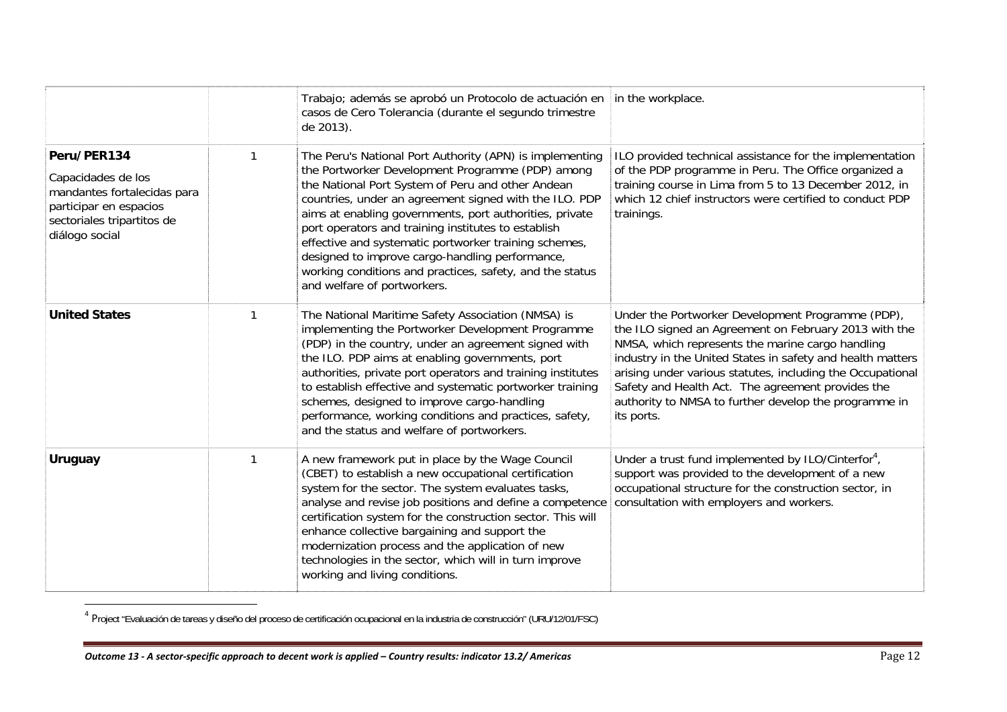|                                                                                                                                            | Trabajo; además se aprobó un Protocolo de actuación en in the workplace.<br>casos de Cero Tolerancia (durante el segundo trimestre<br>de 2013).                                                                                                                                                                                                                                                                                                                                                                                                      |                                                                                                                                                                                                                                                                                                                                                                                                                        |
|--------------------------------------------------------------------------------------------------------------------------------------------|------------------------------------------------------------------------------------------------------------------------------------------------------------------------------------------------------------------------------------------------------------------------------------------------------------------------------------------------------------------------------------------------------------------------------------------------------------------------------------------------------------------------------------------------------|------------------------------------------------------------------------------------------------------------------------------------------------------------------------------------------------------------------------------------------------------------------------------------------------------------------------------------------------------------------------------------------------------------------------|
| Peru/PER134<br>Capacidades de los<br>mandantes fortalecidas para<br>participar en espacios<br>sectoriales tripartitos de<br>diálogo social | The Peru's National Port Authority (APN) is implementing<br>the Portworker Development Programme (PDP) among<br>the National Port System of Peru and other Andean<br>countries, under an agreement signed with the ILO. PDP<br>aims at enabling governments, port authorities, private<br>port operators and training institutes to establish<br>effective and systematic portworker training schemes,<br>designed to improve cargo-handling performance,<br>working conditions and practices, safety, and the status<br>and welfare of portworkers. | ILO provided technical assistance for the implementation<br>of the PDP programme in Peru. The Office organized a<br>training course in Lima from 5 to 13 December 2012, in<br>which 12 chief instructors were certified to conduct PDP<br>trainings.                                                                                                                                                                   |
| <b>United States</b>                                                                                                                       | The National Maritime Safety Association (NMSA) is<br>implementing the Portworker Development Programme<br>(PDP) in the country, under an agreement signed with<br>the ILO. PDP aims at enabling governments, port<br>authorities, private port operators and training institutes<br>to establish effective and systematic portworker training<br>schemes, designed to improve cargo-handling<br>performance, working conditions and practices, safety,<br>and the status and welfare of portworkers.                                                | Under the Portworker Development Programme (PDP),<br>the ILO signed an Agreement on February 2013 with the<br>NMSA, which represents the marine cargo handling<br>industry in the United States in safety and health matters<br>arising under various statutes, including the Occupational<br>Safety and Health Act. The agreement provides the<br>authority to NMSA to further develop the programme in<br>its ports. |
| <b>Uruguay</b>                                                                                                                             | A new framework put in place by the Wage Council<br>(CBET) to establish a new occupational certification<br>system for the sector. The system evaluates tasks,<br>analyse and revise job positions and define a competence<br>certification system for the construction sector. This will<br>enhance collective bargaining and support the<br>modernization process and the application of new<br>technologies in the sector, which will in turn improve<br>working and living conditions.                                                           | Under a trust fund implemented by ILO/Cinterfor <sup>4</sup> ,<br>support was provided to the development of a new<br>occupational structure for the construction sector, in<br>consultation with employers and workers.                                                                                                                                                                                               |

<sup>4</sup> Project "Evaluación de tareas y diseño del proceso de certificación ocupacional en la industria de construcción" (URU/12/01/FSC)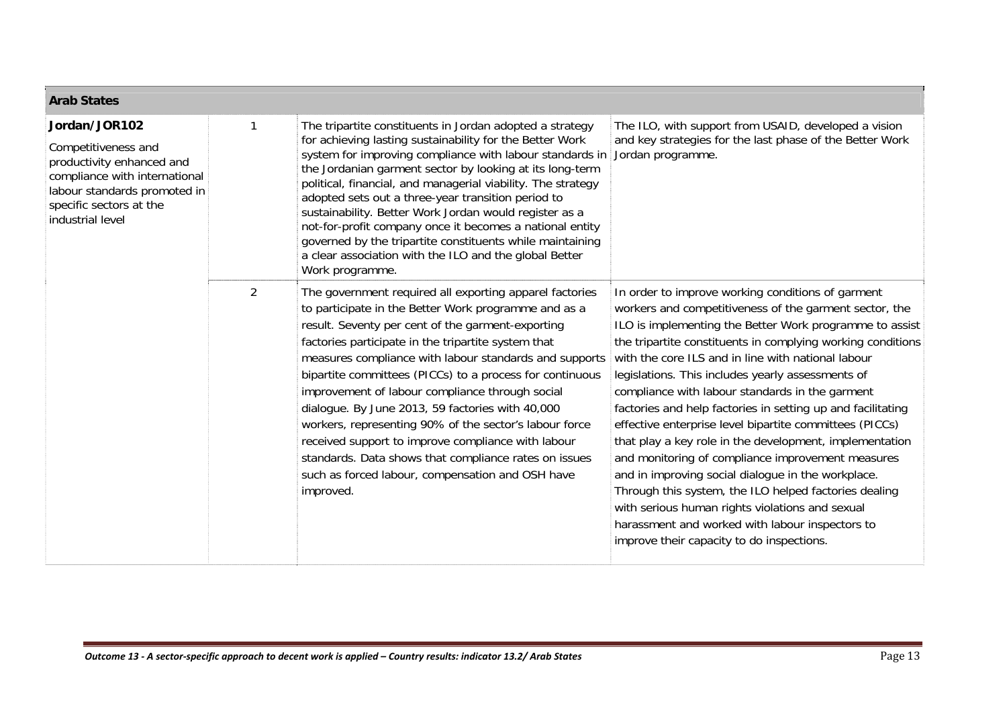| <b>Arab States</b>                                                                                                                                                                |                |                                                                                                                                                                                                                                                                                                                                                                                                                                                                                                                                                                                                                                                                                                    |                                                                                                                                                                                                                                                                                                                                                                                                                                                                                                                                                                                                                                                                                                                                                                                                                                                                                                                 |
|-----------------------------------------------------------------------------------------------------------------------------------------------------------------------------------|----------------|----------------------------------------------------------------------------------------------------------------------------------------------------------------------------------------------------------------------------------------------------------------------------------------------------------------------------------------------------------------------------------------------------------------------------------------------------------------------------------------------------------------------------------------------------------------------------------------------------------------------------------------------------------------------------------------------------|-----------------------------------------------------------------------------------------------------------------------------------------------------------------------------------------------------------------------------------------------------------------------------------------------------------------------------------------------------------------------------------------------------------------------------------------------------------------------------------------------------------------------------------------------------------------------------------------------------------------------------------------------------------------------------------------------------------------------------------------------------------------------------------------------------------------------------------------------------------------------------------------------------------------|
| Jordan/JOR102<br>Competitiveness and<br>productivity enhanced and<br>compliance with international<br>labour standards promoted in<br>specific sectors at the<br>industrial level |                | The tripartite constituents in Jordan adopted a strategy<br>for achieving lasting sustainability for the Better Work<br>system for improving compliance with labour standards in<br>the Jordanian garment sector by looking at its long-term<br>political, financial, and managerial viability. The strategy<br>adopted sets out a three-year transition period to<br>sustainability. Better Work Jordan would register as a<br>not-for-profit company once it becomes a national entity<br>governed by the tripartite constituents while maintaining<br>a clear association with the ILO and the global Better<br>Work programme.                                                                 | The ILO, with support from USAID, developed a vision<br>and key strategies for the last phase of the Better Work<br>Jordan programme.                                                                                                                                                                                                                                                                                                                                                                                                                                                                                                                                                                                                                                                                                                                                                                           |
|                                                                                                                                                                                   | $\overline{2}$ | The government required all exporting apparel factories<br>to participate in the Better Work programme and as a<br>result. Seventy per cent of the garment-exporting<br>factories participate in the tripartite system that<br>measures compliance with labour standards and supports<br>bipartite committees (PICCs) to a process for continuous<br>improvement of labour compliance through social<br>dialogue. By June 2013, 59 factories with 40,000<br>workers, representing 90% of the sector's labour force<br>received support to improve compliance with labour<br>standards. Data shows that compliance rates on issues<br>such as forced labour, compensation and OSH have<br>improved. | In order to improve working conditions of garment<br>workers and competitiveness of the garment sector, the<br>ILO is implementing the Better Work programme to assist<br>the tripartite constituents in complying working conditions<br>with the core ILS and in line with national labour<br>legislations. This includes yearly assessments of<br>compliance with labour standards in the garment<br>factories and help factories in setting up and facilitating<br>effective enterprise level bipartite committees (PICCs)<br>that play a key role in the development, implementation<br>and monitoring of compliance improvement measures<br>and in improving social dialogue in the workplace.<br>Through this system, the ILO helped factories dealing<br>with serious human rights violations and sexual<br>harassment and worked with labour inspectors to<br>improve their capacity to do inspections. |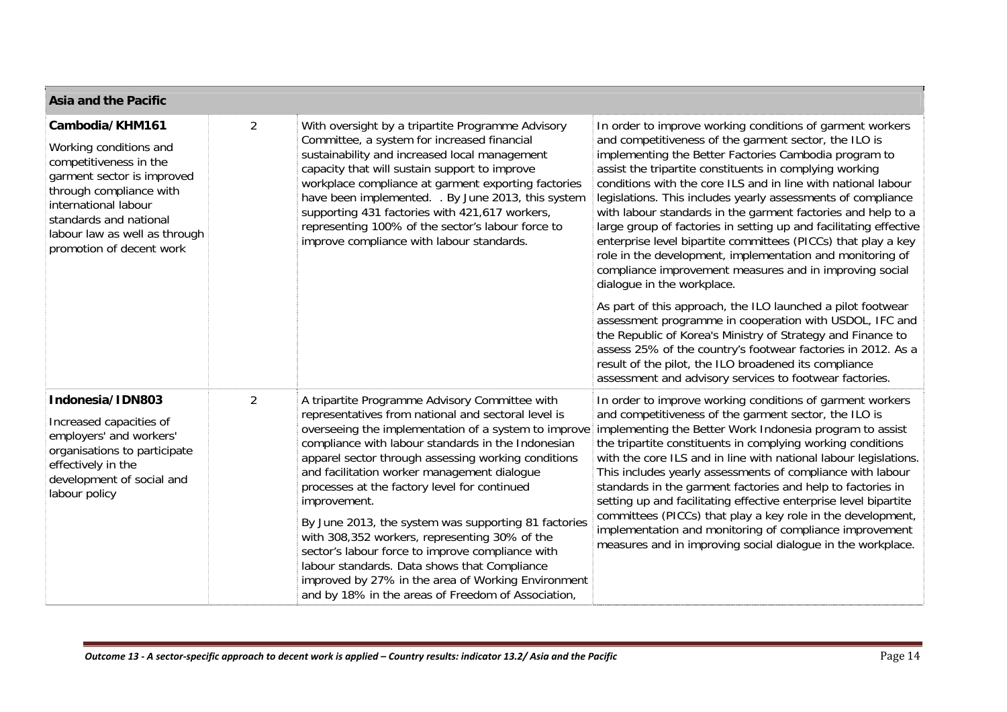| <b>Asia and the Pacific</b>                                                                                                                                                                                                                 |                |                                                                                                                                                                                                                                                                                                                                                                                                                                                                                                                                                                                                                                                                                                                    |                                                                                                                                                                                                                                                                                                                                                                                                                                                                                                                                                                                                                                                                                                                                     |
|---------------------------------------------------------------------------------------------------------------------------------------------------------------------------------------------------------------------------------------------|----------------|--------------------------------------------------------------------------------------------------------------------------------------------------------------------------------------------------------------------------------------------------------------------------------------------------------------------------------------------------------------------------------------------------------------------------------------------------------------------------------------------------------------------------------------------------------------------------------------------------------------------------------------------------------------------------------------------------------------------|-------------------------------------------------------------------------------------------------------------------------------------------------------------------------------------------------------------------------------------------------------------------------------------------------------------------------------------------------------------------------------------------------------------------------------------------------------------------------------------------------------------------------------------------------------------------------------------------------------------------------------------------------------------------------------------------------------------------------------------|
| Cambodia/KHM161<br>Working conditions and<br>competitiveness in the<br>garment sector is improved<br>through compliance with<br>international labour<br>standards and national<br>labour law as well as through<br>promotion of decent work | $\overline{2}$ | With oversight by a tripartite Programme Advisory<br>Committee, a system for increased financial<br>sustainability and increased local management<br>capacity that will sustain support to improve<br>workplace compliance at garment exporting factories<br>have been implemented. . By June 2013, this system<br>supporting 431 factories with 421,617 workers,<br>representing 100% of the sector's labour force to<br>improve compliance with labour standards.                                                                                                                                                                                                                                                | In order to improve working conditions of garment workers<br>and competitiveness of the garment sector, the ILO is<br>implementing the Better Factories Cambodia program to<br>assist the tripartite constituents in complying working<br>conditions with the core ILS and in line with national labour<br>legislations. This includes yearly assessments of compliance<br>with labour standards in the garment factories and help to a<br>large group of factories in setting up and facilitating effective<br>enterprise level bipartite committees (PICCs) that play a key<br>role in the development, implementation and monitoring of<br>compliance improvement measures and in improving social<br>dialogue in the workplace. |
|                                                                                                                                                                                                                                             |                |                                                                                                                                                                                                                                                                                                                                                                                                                                                                                                                                                                                                                                                                                                                    | As part of this approach, the ILO launched a pilot footwear<br>assessment programme in cooperation with USDOL, IFC and<br>the Republic of Korea's Ministry of Strategy and Finance to<br>assess 25% of the country's footwear factories in 2012. As a<br>result of the pilot, the ILO broadened its compliance<br>assessment and advisory services to footwear factories.                                                                                                                                                                                                                                                                                                                                                           |
| Indonesia/IDN803<br>Increased capacities of<br>employers' and workers'<br>organisations to participate<br>effectively in the<br>development of social and<br>labour policy                                                                  | $\overline{2}$ | A tripartite Programme Advisory Committee with<br>representatives from national and sectoral level is<br>overseeing the implementation of a system to improve<br>compliance with labour standards in the Indonesian<br>apparel sector through assessing working conditions<br>and facilitation worker management dialogue<br>processes at the factory level for continued<br>improvement.<br>By June 2013, the system was supporting 81 factories<br>with 308,352 workers, representing 30% of the<br>sector's labour force to improve compliance with<br>labour standards. Data shows that Compliance<br>improved by 27% in the area of Working Environment<br>and by 18% in the areas of Freedom of Association, | In order to improve working conditions of garment workers<br>and competitiveness of the garment sector, the ILO is<br>implementing the Better Work Indonesia program to assist<br>the tripartite constituents in complying working conditions<br>with the core ILS and in line with national labour legislations.<br>This includes yearly assessments of compliance with labour<br>standards in the garment factories and help to factories in<br>setting up and facilitating effective enterprise level bipartite<br>committees (PICCs) that play a key role in the development,<br>implementation and monitoring of compliance improvement<br>measures and in improving social dialogue in the workplace.                         |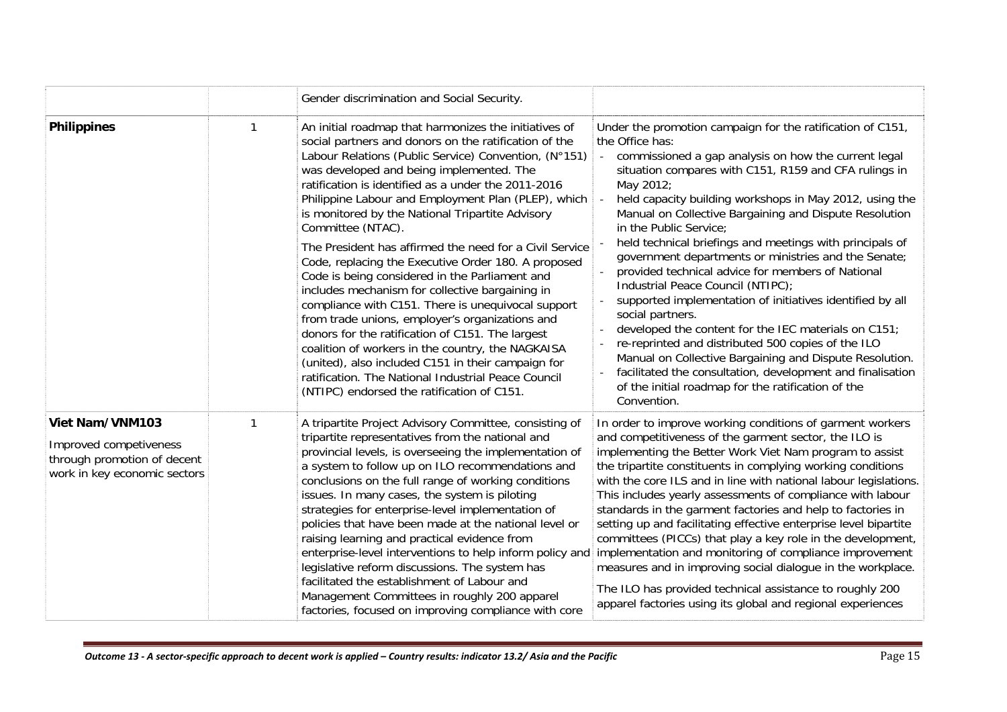|                                                                                                          | Gender discrimination and Social Security.                                                                                                                                                                                                                                                                                                                                                                                                                                                                                                                                                                                                                                                                                                                                                                                                                                                                                                                                                                     |                                                                                                                                                                                                                                                                                                                                                                                                                                                                                                                                                                                                                                                                                                                                                                                                                                                                                                                                                                       |
|----------------------------------------------------------------------------------------------------------|----------------------------------------------------------------------------------------------------------------------------------------------------------------------------------------------------------------------------------------------------------------------------------------------------------------------------------------------------------------------------------------------------------------------------------------------------------------------------------------------------------------------------------------------------------------------------------------------------------------------------------------------------------------------------------------------------------------------------------------------------------------------------------------------------------------------------------------------------------------------------------------------------------------------------------------------------------------------------------------------------------------|-----------------------------------------------------------------------------------------------------------------------------------------------------------------------------------------------------------------------------------------------------------------------------------------------------------------------------------------------------------------------------------------------------------------------------------------------------------------------------------------------------------------------------------------------------------------------------------------------------------------------------------------------------------------------------------------------------------------------------------------------------------------------------------------------------------------------------------------------------------------------------------------------------------------------------------------------------------------------|
| <b>Philippines</b>                                                                                       | An initial roadmap that harmonizes the initiatives of<br>social partners and donors on the ratification of the<br>Labour Relations (Public Service) Convention, (N°151)<br>was developed and being implemented. The<br>ratification is identified as a under the 2011-2016<br>Philippine Labour and Employment Plan (PLEP), which<br>is monitored by the National Tripartite Advisory<br>Committee (NTAC).<br>The President has affirmed the need for a Civil Service<br>Code, replacing the Executive Order 180. A proposed<br>Code is being considered in the Parliament and<br>includes mechanism for collective bargaining in<br>compliance with C151. There is unequivocal support<br>from trade unions, employer's organizations and<br>donors for the ratification of C151. The largest<br>coalition of workers in the country, the NAGKAISA<br>(united), also included C151 in their campaign for<br>ratification. The National Industrial Peace Council<br>(NTIPC) endorsed the ratification of C151. | Under the promotion campaign for the ratification of C151,<br>the Office has:<br>commissioned a gap analysis on how the current legal<br>situation compares with C151, R159 and CFA rulings in<br>May 2012;<br>held capacity building workshops in May 2012, using the<br>Manual on Collective Bargaining and Dispute Resolution<br>in the Public Service;<br>held technical briefings and meetings with principals of<br>government departments or ministries and the Senate;<br>provided technical advice for members of National<br>Industrial Peace Council (NTIPC);<br>supported implementation of initiatives identified by all<br>social partners.<br>developed the content for the IEC materials on C151;<br>re-reprinted and distributed 500 copies of the ILO<br>Manual on Collective Bargaining and Dispute Resolution.<br>facilitated the consultation, development and finalisation<br>of the initial roadmap for the ratification of the<br>Convention. |
| Viet Nam/VNM103<br>Improved competiveness<br>through promotion of decent<br>work in key economic sectors | A tripartite Project Advisory Committee, consisting of<br>tripartite representatives from the national and<br>provincial levels, is overseeing the implementation of<br>a system to follow up on ILO recommendations and<br>conclusions on the full range of working conditions<br>issues. In many cases, the system is piloting<br>strategies for enterprise-level implementation of<br>policies that have been made at the national level or<br>raising learning and practical evidence from<br>enterprise-level interventions to help inform policy and<br>legislative reform discussions. The system has<br>facilitated the establishment of Labour and<br>Management Committees in roughly 200 apparel<br>factories, focused on improving compliance with core                                                                                                                                                                                                                                            | In order to improve working conditions of garment workers<br>and competitiveness of the garment sector, the ILO is<br>implementing the Better Work Viet Nam program to assist<br>the tripartite constituents in complying working conditions<br>with the core ILS and in line with national labour legislations.<br>This includes yearly assessments of compliance with labour<br>standards in the garment factories and help to factories in<br>setting up and facilitating effective enterprise level bipartite<br>committees (PICCs) that play a key role in the development,<br>implementation and monitoring of compliance improvement<br>measures and in improving social dialogue in the workplace.<br>The ILO has provided technical assistance to roughly 200<br>apparel factories using its global and regional experiences                                                                                                                                 |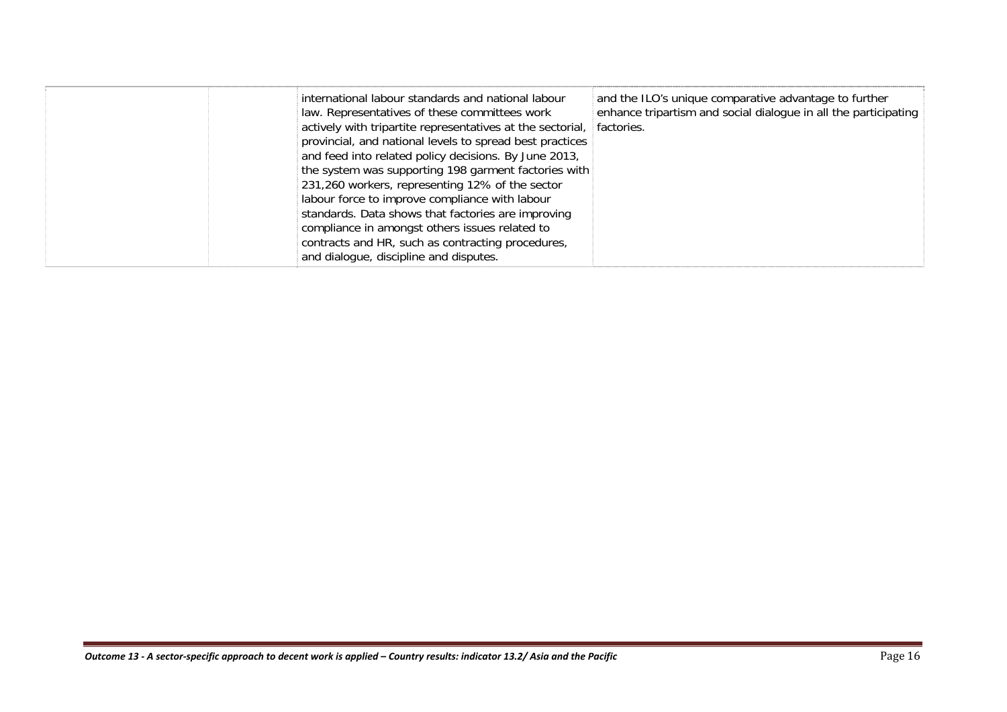|  | international labour standards and national labour<br>law. Representatives of these committees work<br>actively with tripartite representatives at the sectorial,<br>provincial, and national levels to spread best practices<br>and feed into related policy decisions. By June 2013,<br>the system was supporting 198 garment factories with<br>231,260 workers, representing 12% of the sector<br>labour force to improve compliance with labour<br>standards. Data shows that factories are improving<br>compliance in amongst others issues related to<br>contracts and HR, such as contracting procedures,<br>and dialogue, discipline and disputes. | and the ILO's unique comparative advantage to further<br>enhance tripartism and social dialogue in all the participating<br>factories. |
|--|------------------------------------------------------------------------------------------------------------------------------------------------------------------------------------------------------------------------------------------------------------------------------------------------------------------------------------------------------------------------------------------------------------------------------------------------------------------------------------------------------------------------------------------------------------------------------------------------------------------------------------------------------------|----------------------------------------------------------------------------------------------------------------------------------------|
|--|------------------------------------------------------------------------------------------------------------------------------------------------------------------------------------------------------------------------------------------------------------------------------------------------------------------------------------------------------------------------------------------------------------------------------------------------------------------------------------------------------------------------------------------------------------------------------------------------------------------------------------------------------------|----------------------------------------------------------------------------------------------------------------------------------------|